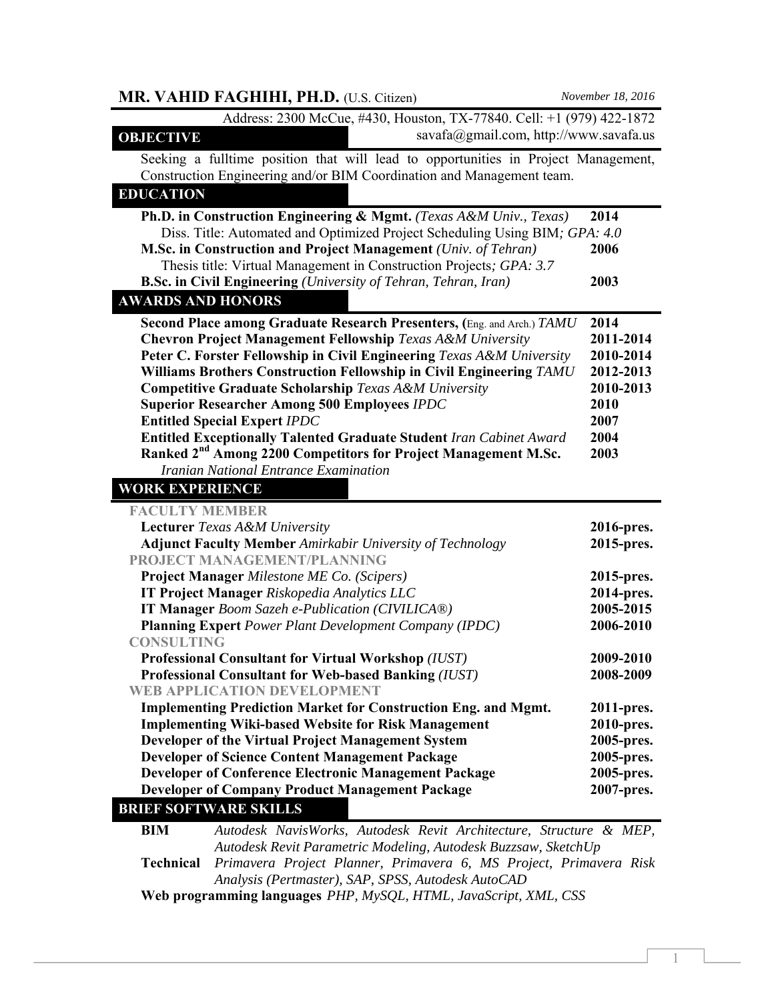| MR. VAHID FAGHIHI, PH.D. (U.S. Citizen)                                                                                                                                                                                                                                                                                                                                                          | November 18, 2016    |
|--------------------------------------------------------------------------------------------------------------------------------------------------------------------------------------------------------------------------------------------------------------------------------------------------------------------------------------------------------------------------------------------------|----------------------|
| Address: 2300 McCue, #430, Houston, TX-77840. Cell: +1 (979) 422-1872                                                                                                                                                                                                                                                                                                                            |                      |
| savafa@gmail.com, http://www.savafa.us<br><b>OBJECTIVE</b>                                                                                                                                                                                                                                                                                                                                       |                      |
| Seeking a fulltime position that will lead to opportunities in Project Management,<br>Construction Engineering and/or BIM Coordination and Management team.                                                                                                                                                                                                                                      |                      |
| <b>EDUCATION</b>                                                                                                                                                                                                                                                                                                                                                                                 |                      |
| Ph.D. in Construction Engineering & Mgmt. (Texas A&M Univ., Texas)<br>Diss. Title: Automated and Optimized Project Scheduling Using BIM; GPA: 4.0<br>M.Sc. in Construction and Project Management (Univ. of Tehran)<br>Thesis title: Virtual Management in Construction Projects; GPA: 3.7<br><b>B.Sc. in Civil Engineering</b> (University of Tehran, Tehran, Iran)<br><b>AWARDS AND HONORS</b> | 2014<br>2006<br>2003 |
| Second Place among Graduate Research Presenters, (Eng. and Arch.) TAMU                                                                                                                                                                                                                                                                                                                           | 2014                 |
| <b>Chevron Project Management Fellowship Texas A&amp;M University</b>                                                                                                                                                                                                                                                                                                                            | 2011-2014            |
| Peter C. Forster Fellowship in Civil Engineering Texas A&M University                                                                                                                                                                                                                                                                                                                            | 2010-2014            |
| Williams Brothers Construction Fellowship in Civil Engineering TAMU                                                                                                                                                                                                                                                                                                                              | 2012-2013            |
| <b>Competitive Graduate Scholarship Texas A&amp;M University</b>                                                                                                                                                                                                                                                                                                                                 | 2010-2013            |
| <b>Superior Researcher Among 500 Employees IPDC</b>                                                                                                                                                                                                                                                                                                                                              | 2010                 |
| <b>Entitled Special Expert IPDC</b>                                                                                                                                                                                                                                                                                                                                                              | 2007                 |
| <b>Entitled Exceptionally Talented Graduate Student Iran Cabinet Award</b>                                                                                                                                                                                                                                                                                                                       | 2004                 |
| Ranked 2 <sup>nd</sup> Among 2200 Competitors for Project Management M.Sc.                                                                                                                                                                                                                                                                                                                       | 2003                 |
| Iranian National Entrance Examination                                                                                                                                                                                                                                                                                                                                                            |                      |
| <b>WORK EXPERIENCE</b>                                                                                                                                                                                                                                                                                                                                                                           |                      |
| <b>FACULTY MEMBER</b>                                                                                                                                                                                                                                                                                                                                                                            |                      |
| <b>Lecturer</b> Texas A&M University                                                                                                                                                                                                                                                                                                                                                             | 2016-pres.           |
| <b>Adjunct Faculty Member</b> Amirkabir University of Technology                                                                                                                                                                                                                                                                                                                                 | 2015-pres.           |
| PROJECT MANAGEMENT/PLANNING                                                                                                                                                                                                                                                                                                                                                                      |                      |
| <b>Project Manager Milestone ME Co. (Scipers)</b>                                                                                                                                                                                                                                                                                                                                                | 2015-pres.           |
| <b>IT Project Manager Riskopedia Analytics LLC</b>                                                                                                                                                                                                                                                                                                                                               | 2014-pres.           |
| <b>IT Manager Boom Sazeh e-Publication (CIVILICA®)</b>                                                                                                                                                                                                                                                                                                                                           | 2005-2015            |
| <b>Planning Expert Power Plant Development Company (IPDC)</b>                                                                                                                                                                                                                                                                                                                                    | 2006-2010            |
| <b>CONSULTING</b>                                                                                                                                                                                                                                                                                                                                                                                |                      |
| <b>Professional Consultant for Virtual Workshop (IUST)</b>                                                                                                                                                                                                                                                                                                                                       | 2009-2010            |
| <b>Professional Consultant for Web-based Banking (IUST)</b>                                                                                                                                                                                                                                                                                                                                      | 2008-2009            |
| <b>WEB APPLICATION DEVELOPMENT</b>                                                                                                                                                                                                                                                                                                                                                               |                      |
| <b>Implementing Prediction Market for Construction Eng. and Mgmt.</b>                                                                                                                                                                                                                                                                                                                            | 2011-pres.           |
| <b>Implementing Wiki-based Website for Risk Management</b>                                                                                                                                                                                                                                                                                                                                       | 2010-pres.           |
| Developer of the Virtual Project Management System                                                                                                                                                                                                                                                                                                                                               | 2005-pres.           |
| <b>Developer of Science Content Management Package</b>                                                                                                                                                                                                                                                                                                                                           | 2005-pres.           |
| <b>Developer of Conference Electronic Management Package</b>                                                                                                                                                                                                                                                                                                                                     | 2005-pres.           |
| <b>Developer of Company Product Management Package</b><br><b>BRIEF SOFTWARE SKILLS</b>                                                                                                                                                                                                                                                                                                           | 2007-pres.           |
| <b>BIM</b><br>Autodesk NavisWorks, Autodesk Revit Architecture, Structure & MEP,                                                                                                                                                                                                                                                                                                                 |                      |
| Autodesk Revit Parametric Modeling, Autodesk Buzzsaw, SketchUp                                                                                                                                                                                                                                                                                                                                   |                      |
| Primavera Project Planner, Primavera 6, MS Project, Primavera Risk<br><b>Technical</b>                                                                                                                                                                                                                                                                                                           |                      |

*Analysis (Pertmaster), SAP, SPSS, Autodesk AutoCAD*

**Web programming languages** *PHP, MySQL, HTML, JavaScript, XML, CSS*